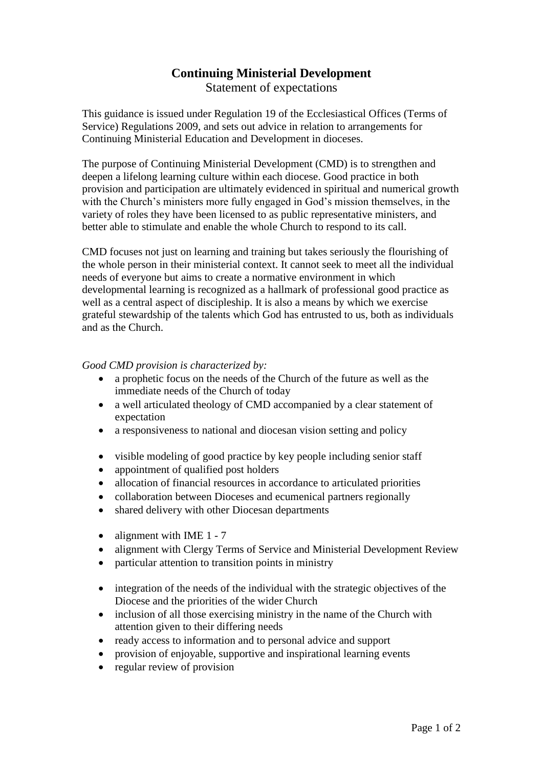## **Continuing Ministerial Development**

Statement of expectations

This guidance is issued under Regulation 19 of the Ecclesiastical Offices (Terms of Service) Regulations 2009, and sets out advice in relation to arrangements for Continuing Ministerial Education and Development in dioceses.

The purpose of Continuing Ministerial Development (CMD) is to strengthen and deepen a lifelong learning culture within each diocese. Good practice in both provision and participation are ultimately evidenced in spiritual and numerical growth with the Church's ministers more fully engaged in God's mission themselves, in the variety of roles they have been licensed to as public representative ministers, and better able to stimulate and enable the whole Church to respond to its call.

CMD focuses not just on learning and training but takes seriously the flourishing of the whole person in their ministerial context. It cannot seek to meet all the individual needs of everyone but aims to create a normative environment in which developmental learning is recognized as a hallmark of professional good practice as well as a central aspect of discipleship. It is also a means by which we exercise grateful stewardship of the talents which God has entrusted to us, both as individuals and as the Church.

## *Good CMD provision is characterized by:*

- a prophetic focus on the needs of the Church of the future as well as the immediate needs of the Church of today
- a well articulated theology of CMD accompanied by a clear statement of expectation
- a responsiveness to national and diocesan vision setting and policy
- visible modeling of good practice by key people including senior staff
- appointment of qualified post holders
- allocation of financial resources in accordance to articulated priorities
- collaboration between Dioceses and ecumenical partners regionally
- shared delivery with other Diocesan departments
- alignment with IME  $1 7$
- alignment with Clergy Terms of Service and Ministerial Development Review
- particular attention to transition points in ministry
- integration of the needs of the individual with the strategic objectives of the Diocese and the priorities of the wider Church
- inclusion of all those exercising ministry in the name of the Church with attention given to their differing needs
- ready access to information and to personal advice and support
- provision of enjoyable, supportive and inspirational learning events
- regular review of provision